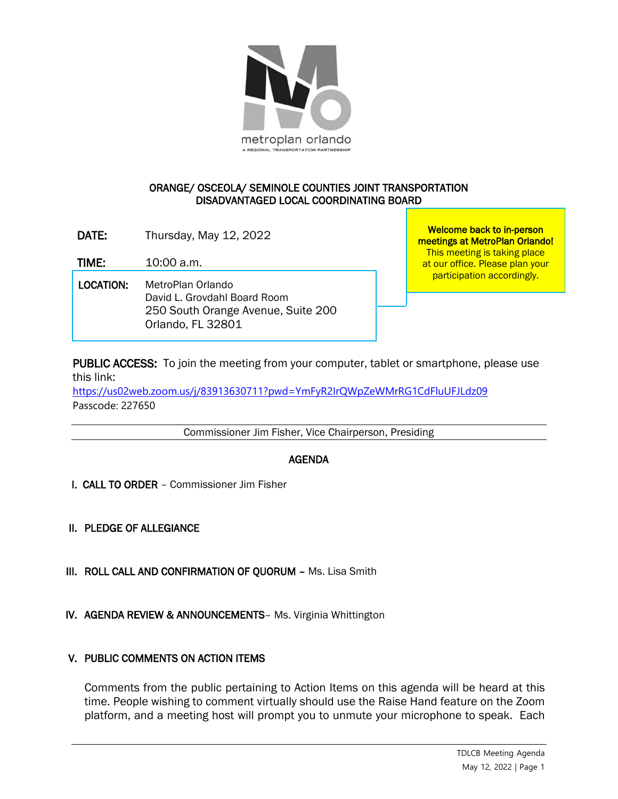

## ORANGE/ OSCEOLA/ SEMINOLE COUNTIES JOINT TRANSPORTATION DISADVANTAGED LOCAL COORDINATING BOARD

DATE: Thursday, May 12, 2022

TIME: 10:00 a.m.

 LOCATION: MetroPlan Orlando David L. Grovdahl Board Room 250 South Orange Avenue, Suite 200 Orlando, FL 32801

Welcome back to in-person meetings at MetroPlan Orlando! This meeting is taking place at our office. Please plan your participation accordingly.

PUBLIC ACCESS: To join the meeting from your computer, tablet or smartphone, please use this link:

<https://us02web.zoom.us/j/83913630711?pwd=YmFyR2IrQWpZeWMrRG1CdFluUFJLdz09> Passcode: 227650

Commissioner Jim Fisher, Vice Chairperson, Presiding

## AGENDA

I. CALL TO ORDER – Commissioner Jim Fisher

II. PLEDGE OF ALLEGIANCE

- III. ROLL CALL AND CONFIRMATION OF QUORUM Ms. Lisa Smith
- IV. AGENDA REVIEW & ANNOUNCEMENTS– Ms. Virginia Whittington

## V. PUBLIC COMMENTS ON ACTION ITEMS

Comments from the public pertaining to Action Items on this agenda will be heard at this time. People wishing to comment virtually should use the Raise Hand feature on the Zoom platform, and a meeting host will prompt you to unmute your microphone to speak. Each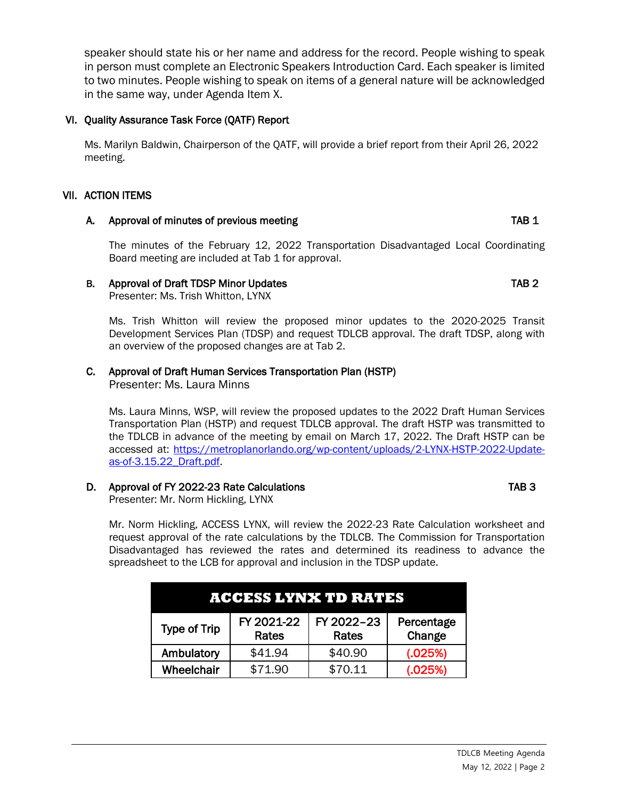speaker should state his or her name and address for the record. People wishing to speak in person must complete an Electronic Speakers Introduction Card. Each speaker is limited to two minutes. People wishing to speak on items of a general nature will be acknowledged in the same way, under Agenda Item X.

# VI. Quality Assurance Task Force (QATF) Report

Ms. Marilyn Baldwin, Chairperson of the QATF, will provide a brief report from their April 26, 2022 meeting.

# VII. ACTION ITEMS

# A. Approval of minutes of previous meeting TAB 1

The minutes of the February 12, 2022 Transportation Disadvantaged Local Coordinating Board meeting are included at Tab 1 for approval.

## B. Approval of Draft TDSP Minor Updates TAB 2

Presenter: Ms. Trish Whitton, LYNX

Ms. Trish Whitton will review the proposed minor updates to the 2020-2025 Transit Development Services Plan (TDSP) and request TDLCB approval. The draft TDSP, along with an overview of the proposed changes are at Tab 2.

# C. Approval of Draft Human Services Transportation Plan (HSTP)

Presenter: Ms. Laura Minns

Ms. Laura Minns, WSP, will review the proposed updates to the 2022 Draft Human Services Transportation Plan (HSTP) and request TDLCB approval. The draft HSTP was transmitted to the TDLCB in advance of the meeting by email on March 17, 2022. The Draft HSTP can be accessed at: [https://metroplanorlando.org/wp-content/uploads/2-LYNX-HSTP-2022-Update](https://metroplanorlando.org/wp-content/uploads/2-LYNX-HSTP-2022-Update-as-of-3.15.22_Draft.pdf)[as-of-3.15.22\\_Draft.pdf.](https://metroplanorlando.org/wp-content/uploads/2-LYNX-HSTP-2022-Update-as-of-3.15.22_Draft.pdf)

# D. Approval of FY 2022-23 Rate Calculations TAB 3

Presenter: Mr. Norm Hickling, LYNX

Mr. Norm Hickling, ACCESS LYNX, will review the 2022-23 Rate Calculation worksheet and request approval of the rate calculations by the TDLCB. The Commission for Transportation Disadvantaged has reviewed the rates and determined its readiness to advance the spreadsheet to the LCB for approval and inclusion in the TDSP update.

| ACCESS LYNX TD RATES |                     |                            |                      |
|----------------------|---------------------|----------------------------|----------------------|
| <b>Type of Trip</b>  | FY 2021-22<br>Rates | FY 2022-23<br><b>Rates</b> | Percentage<br>Change |
| Ambulatory           | \$41.94             | \$40.90                    | (.025%)              |
| Wheelchair           | \$71.90             | \$70.11                    | (.025%)              |